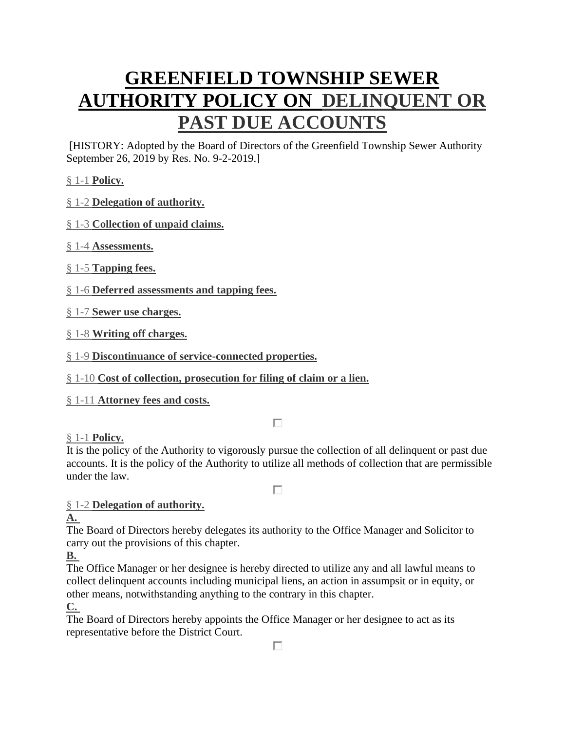# **[GREENFIELD TOWNSHIP SEWER](https://ecode360.com/12738864) [AUTHORITY POLICY ON](https://ecode360.com/12738864) DELINQUENT OR [PAST DUE ACCOUNTS](https://ecode360.com/12738864)**

[HISTORY: Adopted by the Board of Directors of the Greenfield Township Sewer Authority September 26, 2019 by Res. No. 9-2-2019.]

§ 1-1 **[Policy.](https://ecode360.com/12738864#12738865)** 

§ 1-2 **[Delegation of authority.](https://ecode360.com/12738864#12738866)** 

## § 1-3 **[Collection of unpaid claims.](https://ecode360.com/12738864#12738870)**

§ 1-4 **[Assessments.](https://ecode360.com/12738864#12738871)** 

- § 1-5 **[Tapping fees.](https://ecode360.com/12738864#12738876)**
- § 1-6 **[Deferred assessments and tapping fees.](https://ecode360.com/12738864#12738880)**
- § 1-7 **[Sewer use charges.](https://ecode360.com/12738864#12738883)**

§ 1-8 **[Writing off charges.](https://ecode360.com/12738864#12738906)** 

§ 1-9 **[Discontinuance of service-connected properties.](https://ecode360.com/12738864#12738907)** 

§ 1-10 **[Cost of collection, prosecution for filing of claim or a lien.](https://ecode360.com/12738864#12738909)** 

§ 1-11 **[Attorney fees and costs.](https://ecode360.com/12738864#12738910)** 

 $\Box$ 

# § 1-1 **[Policy.](https://ecode360.com/12738864#12738865)**

It is the policy of the Authority to vigorously pursue the collection of all delinquent or past due accounts. It is the policy of the Authority to utilize all methods of collection that are permissible under the law.

П

# § 1-2 **[Delegation of authority.](https://ecode360.com/12738864#12738866)**

## **[A.](https://ecode360.com/12738867#12738867)**

The Board of Directors hereby delegates its authority to the Office Manager and Solicitor to carry out the provisions of this chapter.

**[B.](https://ecode360.com/12738868#12738868)**

The Office Manager or her designee is hereby directed to utilize any and all lawful means to collect delinquent accounts including municipal liens, an action in assumpsit or in equity, or other means, notwithstanding anything to the contrary in this chapter.

**[C.](https://ecode360.com/12738869#12738869)**

The Board of Directors hereby appoints the Office Manager or her designee to act as its representative before the District Court.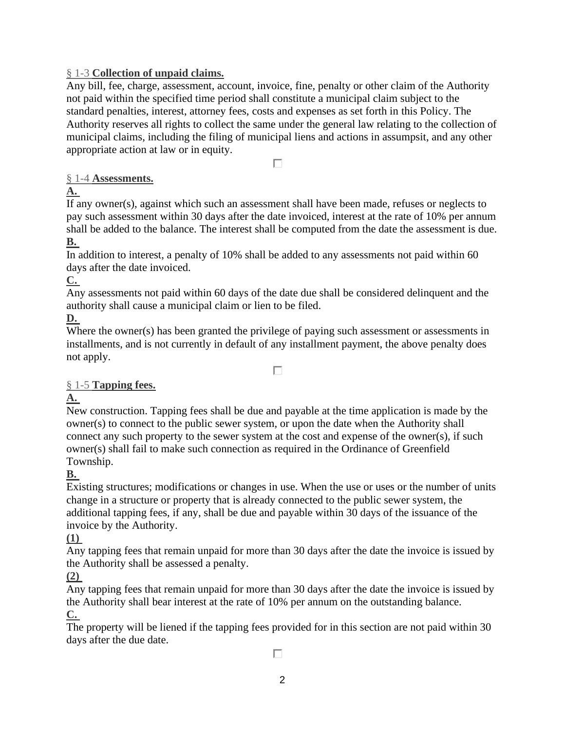#### § 1-3 **[Collection of unpaid claims.](https://ecode360.com/12738864#12738870)**

Any bill, fee, charge, assessment, account, invoice, fine, penalty or other claim of the Authority not paid within the specified time period shall constitute a municipal claim subject to the standard penalties, interest, attorney fees, costs and expenses as set forth in this Policy. The Authority reserves all rights to collect the same under the general law relating to the collection of municipal claims, including the filing of municipal liens and actions in assumpsit, and any other appropriate action at law or in equity.

П

#### § 1-4 **[Assessments.](https://ecode360.com/12738864#12738871)**

#### **[A.](https://ecode360.com/12738872#12738872)**

If any owner(s), against which such an assessment shall have been made, refuses or neglects to pay such assessment within 30 days after the date invoiced, interest at the rate of 10% per annum shall be added to the balance. The interest shall be computed from the date the assessment is due. **[B.](https://ecode360.com/12738873#12738873)**

In addition to interest, a penalty of 10% shall be added to any assessments not paid within 60 days after the date invoiced.

**[C.](https://ecode360.com/12738874#12738874)**

Any assessments not paid within 60 days of the date due shall be considered delinquent and the authority shall cause a municipal claim or lien to be filed.

## **[D.](https://ecode360.com/12738875#12738875)**

Where the owner(s) has been granted the privilege of paying such assessment or assessments in installments, and is not currently in default of any installment payment, the above penalty does not apply.

П

## § 1-5 **[Tapping fees.](https://ecode360.com/12738864#12738876)**

## **[A.](https://ecode360.com/12738877#12738877)**

New construction. Tapping fees shall be due and payable at the time application is made by the owner(s) to connect to the public sewer system, or upon the date when the Authority shall connect any such property to the sewer system at the cost and expense of the owner(s), if such owner(s) shall fail to make such connection as required in the Ordinance of Greenfield Township.

## **[B.](https://ecode360.com/12738878#12738878)**

Existing structures; modifications or changes in use. When the use or uses or the number of units change in a structure or property that is already connected to the public sewer system, the additional tapping fees, if any, shall be due and payable within 30 days of the issuance of the invoice by the Authority.

#### **[\(1\)](https://ecode360.com/26990344#26990344)**

Any tapping fees that remain unpaid for more than 30 days after the date the invoice is issued by the Authority shall be assessed a penalty.

#### **[\(2\)](https://ecode360.com/26990345#26990345)**

Any tapping fees that remain unpaid for more than 30 days after the date the invoice is issued by the Authority shall bear interest at the rate of 10% per annum on the outstanding balance. **[C.](https://ecode360.com/12738879#12738879)**

The property will be liened if the tapping fees provided for in this section are not paid within 30 days after the due date.

П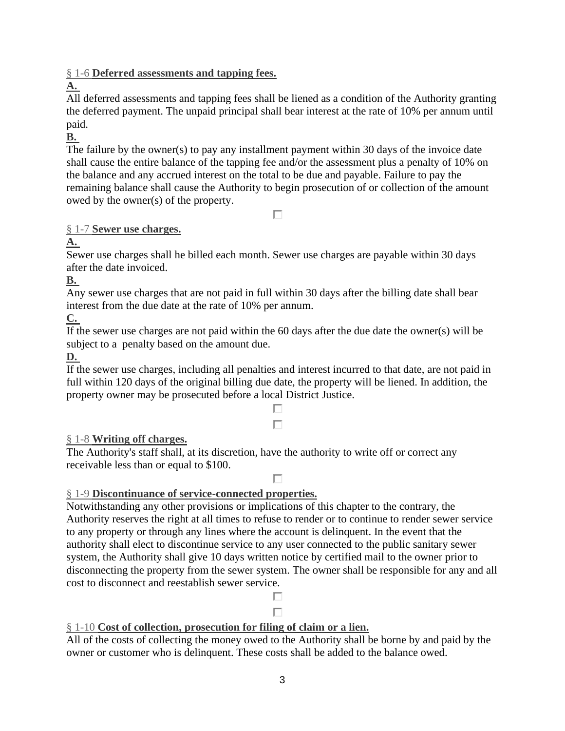§ 1-6 **[Deferred assessments and tapping fees.](https://ecode360.com/12738864#12738880)** 

# **[A.](https://ecode360.com/12738881#12738881)**

All deferred assessments and tapping fees shall be liened as a condition of the Authority granting the deferred payment. The unpaid principal shall bear interest at the rate of 10% per annum until paid.

## **[B.](https://ecode360.com/12738882#12738882)**

The failure by the owner(s) to pay any installment payment within 30 days of the invoice date shall cause the entire balance of the tapping fee and/or the assessment plus a penalty of 10% on the balance and any accrued interest on the total to be due and payable. Failure to pay the remaining balance shall cause the Authority to begin prosecution of or collection of the amount owed by the owner(s) of the property.

П

## § 1-7 **[Sewer use charges.](https://ecode360.com/12738864#12738883)**

**[A.](https://ecode360.com/12738884#12738884)**

Sewer use charges shall he billed each month. Sewer use charges are payable within 30 days after the date invoiced.

**[B.](https://ecode360.com/12738885#12738885)**

Any sewer use charges that are not paid in full within 30 days after the billing date shall bear interest from the due date at the rate of 10% per annum.

# **[C.](https://ecode360.com/12738886#12738886)**

If the sewer use charges are not paid within the 60 days after the due date the owner(s) will be subject to a penalty based on the amount due.

## **[D.](https://ecode360.com/12738887#12738887)**

If the sewer use charges, including all penalties and interest incurred to that date, are not paid in full within 120 days of the original billing due date, the property will be liened. In addition, the property owner may be prosecuted before a local District Justice.

## $\Box$ П

## § 1-8 **[Writing off charges.](https://ecode360.com/12738864#12738906)**

The Authority's staff shall, at its discretion, have the authority to write off or correct any receivable less than or equal to \$100.

#### г

## § 1-9 **[Discontinuance of service-connected properties.](https://ecode360.com/12738864#12738907)**

Notwithstanding any other provisions or implications of this chapter to the contrary, the Authority reserves the right at all times to refuse to render or to continue to render sewer service to any property or through any lines where the account is delinquent. In the event that the authority shall elect to discontinue service to any user connected to the public sanitary sewer system, the Authority shall give 10 days written notice by certified mail to the owner prior to disconnecting the property from the sewer system. The owner shall be responsible for any and all cost to disconnect and reestablish sewer service.

#### п П

## § 1-10 **[Cost of collection, prosecution for filing of claim or a lien.](https://ecode360.com/12738864#12738909)**

All of the costs of collecting the money owed to the Authority shall be borne by and paid by the owner or customer who is delinquent. These costs shall be added to the balance owed.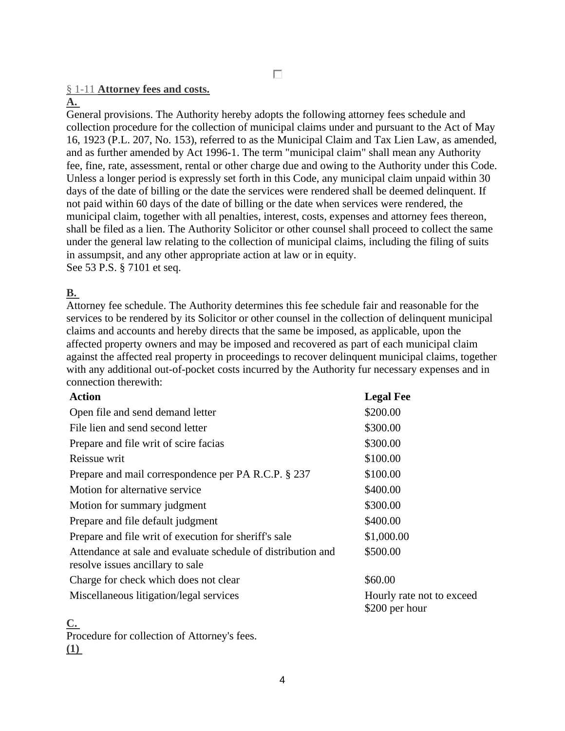#### § 1-11 **[Attorney fees and costs.](https://ecode360.com/12738864#12738910)**

#### **[A.](https://ecode360.com/12738911#12738911)**

General provisions. The Authority hereby adopts the following attorney fees schedule and collection procedure for the collection of municipal claims under and pursuant to the Act of May 16, 1923 (P.L. 207, No. 153), referred to as the Municipal Claim and Tax Lien Law, as amended, and as further amended by Act 1996-1. The term "municipal claim" shall mean any Authority fee, fine, rate, assessment, rental or other charge due and owing to the Authority under this Code. Unless a longer period is expressly set forth in this Code, any municipal claim unpaid within 30 days of the date of billing or the date the services were rendered shall be deemed delinquent. If not paid within 60 days of the date of billing or the date when services were rendered, the municipal claim, together with all penalties, interest, costs, expenses and attorney fees thereon, shall be filed as a lien. The Authority Solicitor or other counsel shall proceed to collect the same under the general law relating to the collection of municipal claims, including the filing of suits in assumpsit, and any other appropriate action at law or in equity. See 53 P.S. § 7101 et seq.

#### **[B.](https://ecode360.com/12738912#12738912)**

Attorney fee schedule. The Authority determines this fee schedule fair and reasonable for the services to be rendered by its Solicitor or other counsel in the collection of delinquent municipal claims and accounts and hereby directs that the same be imposed, as applicable, upon the affected property owners and may be imposed and recovered as part of each municipal claim against the affected real property in proceedings to recover delinquent municipal claims, together with any additional out-of-pocket costs incurred by the Authority fur necessary expenses and in connection therewith:

| <b>Legal Fee</b>                            |
|---------------------------------------------|
| \$200.00                                    |
| \$300.00                                    |
| \$300.00                                    |
| \$100.00                                    |
| \$100.00                                    |
| \$400.00                                    |
| \$300.00                                    |
| \$400.00                                    |
| \$1,000.00                                  |
| \$500.00                                    |
| \$60.00                                     |
| Hourly rate not to exceed<br>\$200 per hour |
|                                             |

**[C.](https://ecode360.com/12738913#12738913)** Procedure for collection of Attorney's fees. **[\(1\)](https://ecode360.com/12738914#12738914)**